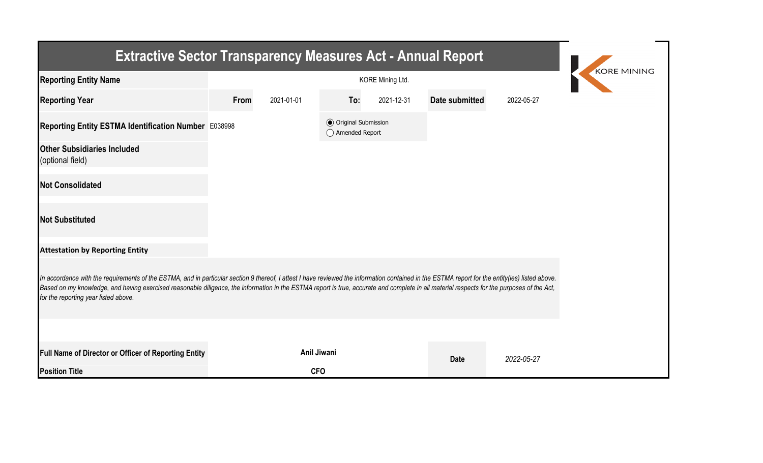| <b>Extractive Sector Transparency Measures Act - Annual Report</b>                                                                                                                                                                                                                                                                                                                                                                    |      |             |                                                  |            |                |            |  |  |  |  |
|---------------------------------------------------------------------------------------------------------------------------------------------------------------------------------------------------------------------------------------------------------------------------------------------------------------------------------------------------------------------------------------------------------------------------------------|------|-------------|--------------------------------------------------|------------|----------------|------------|--|--|--|--|
| <b>Reporting Entity Name</b>                                                                                                                                                                                                                                                                                                                                                                                                          |      | KORE MINING |                                                  |            |                |            |  |  |  |  |
| <b>Reporting Year</b>                                                                                                                                                                                                                                                                                                                                                                                                                 | From | 2021-01-01  | To:                                              | 2021-12-31 | Date submitted | 2022-05-27 |  |  |  |  |
| Reporting Entity ESTMA Identification Number E038998                                                                                                                                                                                                                                                                                                                                                                                  |      |             | <b>◎</b> Original Submission<br>◯ Amended Report |            |                |            |  |  |  |  |
| <b>Other Subsidiaries Included</b><br>(optional field)                                                                                                                                                                                                                                                                                                                                                                                |      |             |                                                  |            |                |            |  |  |  |  |
| <b>Not Consolidated</b>                                                                                                                                                                                                                                                                                                                                                                                                               |      |             |                                                  |            |                |            |  |  |  |  |
| <b>Not Substituted</b>                                                                                                                                                                                                                                                                                                                                                                                                                |      |             |                                                  |            |                |            |  |  |  |  |
| <b>Attestation by Reporting Entity</b>                                                                                                                                                                                                                                                                                                                                                                                                |      |             |                                                  |            |                |            |  |  |  |  |
| In accordance with the requirements of the ESTMA, and in particular section 9 thereof, I attest I have reviewed the information contained in the ESTMA report for the entity(ies) listed above.<br>Based on my knowledge, and having exercised reasonable diligence, the information in the ESTMA report is true, accurate and complete in all material respects for the purposes of the Act,<br>for the reporting year listed above. |      |             |                                                  |            |                |            |  |  |  |  |
|                                                                                                                                                                                                                                                                                                                                                                                                                                       |      |             |                                                  |            |                |            |  |  |  |  |
| Full Name of Director or Officer of Reporting Entity                                                                                                                                                                                                                                                                                                                                                                                  |      | Anil Jiwani |                                                  |            | <b>Date</b>    | 2022-05-27 |  |  |  |  |
| <b>Position Title</b>                                                                                                                                                                                                                                                                                                                                                                                                                 |      | <b>CFO</b>  |                                                  |            |                |            |  |  |  |  |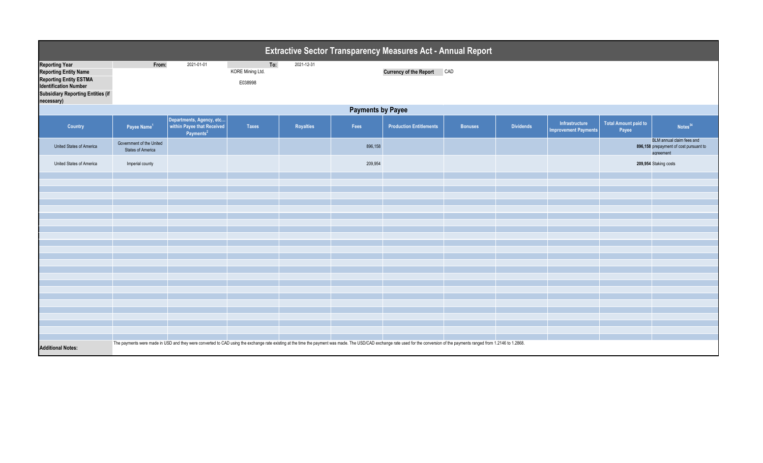| <b>Extractive Sector Transparency Measures Act - Annual Report</b>                                                                                          |                                                                                                                                                                                                                                |                                                                                 |                                    |                  |         |                                |                |                  |                                               |                               |                                                                                  |
|-------------------------------------------------------------------------------------------------------------------------------------------------------------|--------------------------------------------------------------------------------------------------------------------------------------------------------------------------------------------------------------------------------|---------------------------------------------------------------------------------|------------------------------------|------------------|---------|--------------------------------|----------------|------------------|-----------------------------------------------|-------------------------------|----------------------------------------------------------------------------------|
| <b>Reporting Year</b><br>Reporting Entity Name<br>Reporting Entity ESTMA<br>Identification Number<br><b>Subsidiary Reporting Entities (if</b><br>necessary) | From:                                                                                                                                                                                                                          | 2021-01-01                                                                      | To:<br>KORE Mining Ltd.<br>E038998 | 2021-12-31       |         | <b>Currency of the Report</b>  | CAD            |                  |                                               |                               |                                                                                  |
| <b>Payments by Payee</b>                                                                                                                                    |                                                                                                                                                                                                                                |                                                                                 |                                    |                  |         |                                |                |                  |                                               |                               |                                                                                  |
| <b>Country</b>                                                                                                                                              | Payee Name <sup>1</sup>                                                                                                                                                                                                        | Departments, Agency, etc<br>within Payee that Received<br>Payments <sup>2</sup> | <b>Taxes</b>                       | <b>Royalties</b> | Fees    | <b>Production Entitlements</b> | <b>Bonuses</b> | <b>Dividends</b> | Infrastructure<br><b>Improvement Payments</b> | Total Amount paid to<br>Payee | Notes <sup>34</sup>                                                              |
| <b>United States of America</b>                                                                                                                             | Government of the United<br><b>States of America</b>                                                                                                                                                                           |                                                                                 |                                    |                  | 896,158 |                                |                |                  |                                               |                               | BLM annual claim fees and<br>896,158 prepayment of cost pursuant to<br>agreement |
| United States of America                                                                                                                                    | Imperial county                                                                                                                                                                                                                |                                                                                 |                                    |                  | 209,954 |                                |                |                  |                                               | 209,954 Staking costs         |                                                                                  |
|                                                                                                                                                             |                                                                                                                                                                                                                                |                                                                                 |                                    |                  |         |                                |                |                  |                                               |                               |                                                                                  |
|                                                                                                                                                             |                                                                                                                                                                                                                                |                                                                                 |                                    |                  |         |                                |                |                  |                                               |                               |                                                                                  |
|                                                                                                                                                             |                                                                                                                                                                                                                                |                                                                                 |                                    |                  |         |                                |                |                  |                                               |                               |                                                                                  |
|                                                                                                                                                             |                                                                                                                                                                                                                                |                                                                                 |                                    |                  |         |                                |                |                  |                                               |                               |                                                                                  |
|                                                                                                                                                             |                                                                                                                                                                                                                                |                                                                                 |                                    |                  |         |                                |                |                  |                                               |                               |                                                                                  |
|                                                                                                                                                             |                                                                                                                                                                                                                                |                                                                                 |                                    |                  |         |                                |                |                  |                                               |                               |                                                                                  |
|                                                                                                                                                             |                                                                                                                                                                                                                                |                                                                                 |                                    |                  |         |                                |                |                  |                                               |                               |                                                                                  |
|                                                                                                                                                             |                                                                                                                                                                                                                                |                                                                                 |                                    |                  |         |                                |                |                  |                                               |                               |                                                                                  |
|                                                                                                                                                             |                                                                                                                                                                                                                                |                                                                                 |                                    |                  |         |                                |                |                  |                                               |                               |                                                                                  |
|                                                                                                                                                             |                                                                                                                                                                                                                                |                                                                                 |                                    |                  |         |                                |                |                  |                                               |                               |                                                                                  |
|                                                                                                                                                             |                                                                                                                                                                                                                                |                                                                                 |                                    |                  |         |                                |                |                  |                                               |                               |                                                                                  |
|                                                                                                                                                             |                                                                                                                                                                                                                                |                                                                                 |                                    |                  |         |                                |                |                  |                                               |                               |                                                                                  |
|                                                                                                                                                             |                                                                                                                                                                                                                                |                                                                                 |                                    |                  |         |                                |                |                  |                                               |                               |                                                                                  |
|                                                                                                                                                             |                                                                                                                                                                                                                                |                                                                                 |                                    |                  |         |                                |                |                  |                                               |                               |                                                                                  |
|                                                                                                                                                             |                                                                                                                                                                                                                                |                                                                                 |                                    |                  |         |                                |                |                  |                                               |                               |                                                                                  |
|                                                                                                                                                             |                                                                                                                                                                                                                                |                                                                                 |                                    |                  |         |                                |                |                  |                                               |                               |                                                                                  |
| <b>Additional Notes:</b>                                                                                                                                    | The payments were made in USD and they were converted to CAD using the exchange rate existing at the time the payment was made. The USD/CAD exchange rate used for the conversion of the payments ranged from 1.2146 to 1.2868 |                                                                                 |                                    |                  |         |                                |                |                  |                                               |                               |                                                                                  |